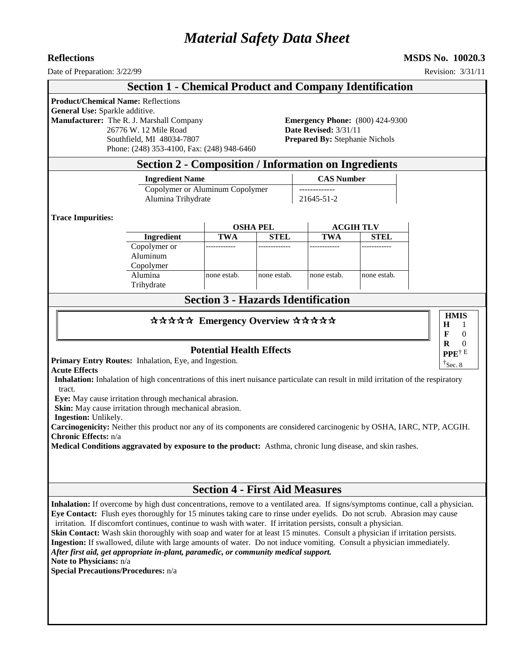# *Material Safety Data Sheet*

**Reflections MSDS No. 10020.3**

### Date of Preparation:  $3/22/99$  Revision: 3/31/11 **Section 1 - Chemical Product and Company Identification Product/Chemical Name:** Reflections **General Use:** Sparkle additive. **Manufacturer:** The R. J. Marshall Company **Emergency Phone:** (800) 424-9300 26776 W. 12 Mile Road **Date Revised:** 3/31/11 Southfield, MI 48034-7807 **Prepared By:** Stephanie Nichols Phone: (248) 353-4100, Fax: (248) 948-6460 **Section 2 - Composition / Information on Ingredients Ingredient Name CAS Number** Copolymer or Aluminum Copolymer | -------------Alumina Trihydrate 21645-51-2 **Trace Impurities: OSHA PEL ACGIH TLV Ingredient TWA STEL TWA STEL** Copolymer or Aluminum Copolymer ------------ ------------- ------------ ------------ Alumina **Trihydrate** none estab. | none estab. | none estab. | none estab. **Section 3 - Hazards Identification** \*\*\*\*\* Emergency Overview \*\*\*\*\* **Potential Health Effects Primary Entry Routes:** Inhalation, Eye, and Ingestion. **Acute Effects Inhalation:** Inhalation of high concentrations of this inert nuisance particulate can result in mild irritation of the respiratory tract. **Eye:** May cause irritation through mechanical abrasion. **Skin:** May cause irritation through mechanical abrasion. **Ingestion:** Unlikely. **Carcinogenicity:** Neither this product nor any of its components are considered carcinogenic by OSHA, IARC, NTP, ACGIH. **Chronic Effects:** n/a **Medical Conditions aggravated by exposure to the product:** Asthma, chronic lung disease, and skin rashes. **Section 4 - First Aid Measures Inhalation:** If overcome by high dust concentrations, remove to a ventilated area. If signs/symptoms continue, call a physician. **Eye Contact:** Flush eyes thoroughly for 15 minutes taking care to rinse under eyelids. Do not scrub. Abrasion may cause irritation. If discomfort continues, continue to wash with water. If irritation persists, consult a physician. **Skin Contact:** Wash skin thoroughly with soap and water for at least 15 minutes. Consult a physician if irritation persists. **Ingestion:** If swallowed, dilute with large amounts of water. Do not induce vomiting. Consult a physician immediately. *After first aid, get appropriate in-plant, paramedic, or community medical support.* **Note to Physicians:** n/a **HMIS H F R** 1 0  $\theta$ **PPE**† E  $\uparrow$ Sec. 8

**Special Precautions/Procedures:** n/a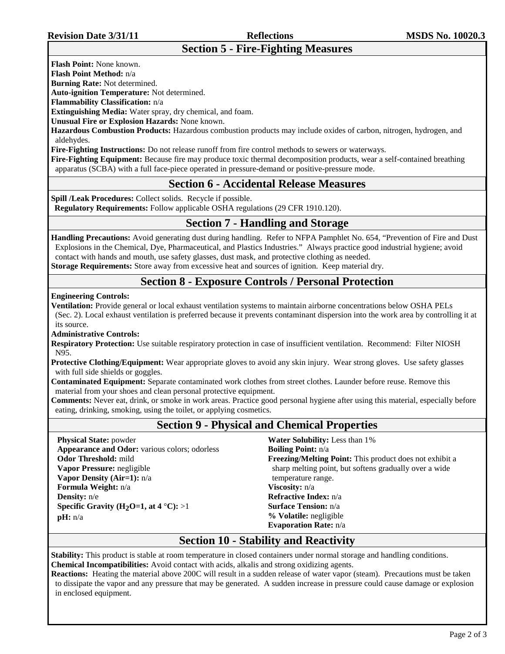# **Section 5 - Fire-Fighting Measures**

**Flash Point:** None known.

**Flash Point Method:** n/a

**Burning Rate:** Not determined.

**Auto-ignition Temperature:** Not determined.

**Flammability Classification:** n/a

**Extinguishing Media:** Water spray, dry chemical, and foam.

**Unusual Fire or Explosion Hazards:** None known.

**Hazardous Combustion Products:** Hazardous combustion products may include oxides of carbon, nitrogen, hydrogen, and aldehydes.

**Fire-Fighting Instructions:** Do not release runoff from fire control methods to sewers or waterways.

**Fire-Fighting Equipment:** Because fire may produce toxic thermal decomposition products, wear a self-contained breathing apparatus (SCBA) with a full face-piece operated in pressure-demand or positive-pressure mode.

## **Section 6 - Accidental Release Measures**

**Spill /Leak Procedures:** Collect solids. Recycle if possible. **Regulatory Requirements:** Follow applicable OSHA regulations (29 CFR 1910.120).

## **Section 7 - Handling and Storage**

**Handling Precautions:** Avoid generating dust during handling. Refer to NFPA Pamphlet No. 654, "Prevention of Fire and Dust Explosions in the Chemical, Dye, Pharmaceutical, and Plastics Industries." Always practice good industrial hygiene; avoid contact with hands and mouth, use safety glasses, dust mask, and protective clothing as needed. **Storage Requirements:** Store away from excessive heat and sources of ignition. Keep material dry.

# **Section 8 - Exposure Controls / Personal Protection**

**Engineering Controls:**

**Ventilation:** Provide general or local exhaust ventilation systems to maintain airborne concentrations below OSHA PELs (Sec. 2). Local exhaust ventilation is preferred because it prevents contaminant dispersion into the work area by controlling it at its source.

**Administrative Controls:**

**Respiratory Protection:** Use suitable respiratory protection in case of insufficient ventilation. Recommend: Filter NIOSH N95.

**Protective Clothing/Equipment:** Wear appropriate gloves to avoid any skin injury. Wear strong gloves. Use safety glasses with full side shields or goggles.

**Contaminated Equipment:** Separate contaminated work clothes from street clothes. Launder before reuse. Remove this material from your shoes and clean personal protective equipment.

**Comments:** Never eat, drink, or smoke in work areas. Practice good personal hygiene after using this material, especially before eating, drinking, smoking, using the toilet, or applying cosmetics.

# **Section 9 - Physical and Chemical Properties**

**Physical State:** powder **Appearance and Odor:** various colors; odorless **Odor Threshold:** mild **Vapor Pressure:** negligible **Vapor Density (Air=1):** n/a **Formula Weight:** n/a **Density:** n/e **Specific Gravity (H<sub>2</sub>O=1, at 4 °C):** >1 **pH:** n/a

**Water Solubility:** Less than 1% **Boiling Point:** n/a **Freezing/Melting Point:** This product does not exhibit a sharp melting point, but softens gradually over a wide temperature range. **Viscosity:** n/a **Refractive Index:** n/a **Surface Tension:** n/a **% Volatile:** negligible **Evaporation Rate:** n/a

## **Section 10 - Stability and Reactivity**

**Stability:** This product is stable at room temperature in closed containers under normal storage and handling conditions. **Chemical Incompatibilities:** Avoid contact with acids, alkalis and strong oxidizing agents.

**Reactions:** Heating the material above 200C will result in a sudden release of water vapor (steam). Precautions must be taken to dissipate the vapor and any pressure that may be generated. A sudden increase in pressure could cause damage or explosion in enclosed equipment.